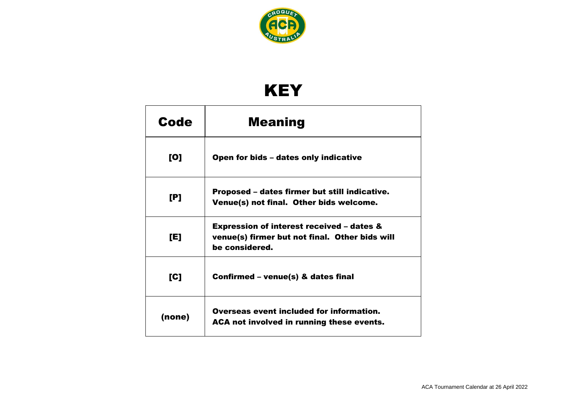

# **KEY**

| Code   | <b>Meaning</b>                                                                                                           |
|--------|--------------------------------------------------------------------------------------------------------------------------|
| [0]    | Open for bids – dates only indicative                                                                                    |
| [P]    | Proposed – dates firmer but still indicative.<br>Venue(s) not final. Other bids welcome.                                 |
| [E]    | <b>Expression of interest received - dates &amp;</b><br>venue(s) firmer but not final. Other bids will<br>be considered. |
| [C]    | Confirmed – venue(s) & dates final                                                                                       |
| (none) | Overseas event included for information.<br>ACA not involved in running these events.                                    |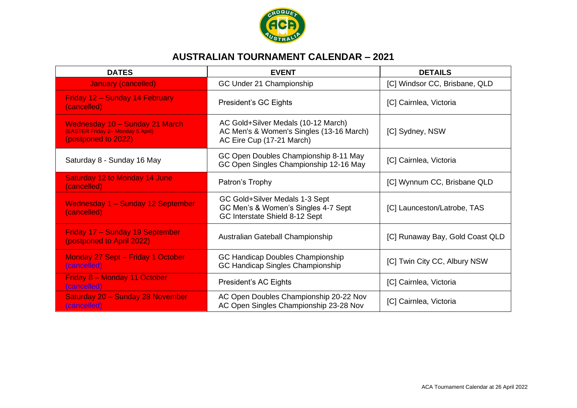

| <b>DATES</b>                                                                               | <b>EVENT</b>                                                                                                 | <b>DETAILS</b>                  |
|--------------------------------------------------------------------------------------------|--------------------------------------------------------------------------------------------------------------|---------------------------------|
| <b>January (cancelled)</b>                                                                 | GC Under 21 Championship                                                                                     | [C] Windsor CC, Brisbane, QLD   |
| Friday 12 - Sunday 14 February<br>(cancelled)                                              | President's GC Eights                                                                                        | [C] Cairnlea, Victoria          |
| Wednesday 10 - Sunday 21 March<br>(EASTER Friday 2- Monday 5 April)<br>(postponed to 2022) | AC Gold+Silver Medals (10-12 March)<br>AC Men's & Women's Singles (13-16 March)<br>AC Eire Cup (17-21 March) | [C] Sydney, NSW                 |
| Saturday 8 - Sunday 16 May                                                                 | GC Open Doubles Championship 8-11 May<br>GC Open Singles Championship 12-16 May                              | [C] Cairnlea, Victoria          |
| <b>Saturday 12 to Monday 14 June</b><br>(cancelled)                                        | Patron's Trophy                                                                                              | [C] Wynnum CC, Brisbane QLD     |
| Wednesday 1 - Sunday 12 September<br>(cancelled)                                           | GC Gold+Silver Medals 1-3 Sept<br>GC Men's & Women's Singles 4-7 Sept<br>GC Interstate Shield 8-12 Sept      | [C] Launceston/Latrobe, TAS     |
| Friday 17 - Sunday 19 September<br>(postponed to April 2022)                               | Australian Gateball Championship                                                                             | [C] Runaway Bay, Gold Coast QLD |
| Monday 27 Sept - Friday 1 October<br>(cancelled)                                           | GC Handicap Doubles Championship<br>GC Handicap Singles Championship                                         | [C] Twin City CC, Albury NSW    |
| Friday 8 - Monday 11 October<br>(cancelled)                                                | President's AC Eights                                                                                        | [C] Cairnlea, Victoria          |
| Saturday 20 - Sunday 28 November<br>(cancelled)                                            | AC Open Doubles Championship 20-22 Nov<br>AC Open Singles Championship 23-28 Nov                             | [C] Cairnlea, Victoria          |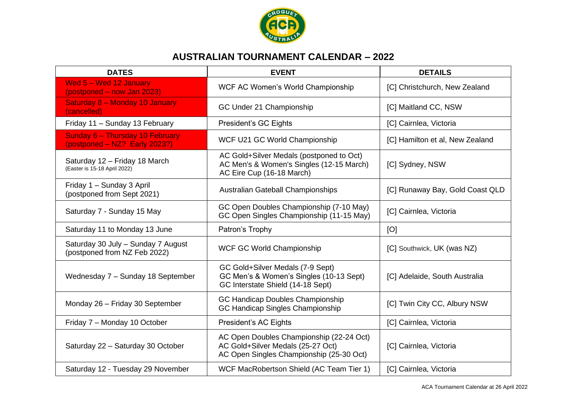

| <b>DATES</b>                                                       | <b>EVENT</b>                                                                                                              | <b>DETAILS</b>                  |
|--------------------------------------------------------------------|---------------------------------------------------------------------------------------------------------------------------|---------------------------------|
| Wed 5 - Wed 12 January<br>(postponed – now Jan 2023)               | WCF AC Women's World Championship                                                                                         | [C] Christchurch, New Zealand   |
| Saturday 8 - Monday 10 January<br>(cancelled)                      | GC Under 21 Championship                                                                                                  | [C] Maitland CC, NSW            |
| Friday 11 - Sunday 13 February                                     | President's GC Eights                                                                                                     | [C] Cairnlea, Victoria          |
| Sunday 6 - Thursday 10 February<br>(postponed - NZ? Early 2023?)   | WCF U21 GC World Championship                                                                                             | [C] Hamilton et al, New Zealand |
| Saturday 12 - Friday 18 March<br>(Easter is 15-18 April 2022)      | AC Gold+Silver Medals (postponed to Oct)<br>AC Men's & Women's Singles (12-15 March)<br>AC Eire Cup (16-18 March)         | [C] Sydney, NSW                 |
| Friday 1 - Sunday 3 April<br>(postponed from Sept 2021)            | <b>Australian Gateball Championships</b>                                                                                  | [C] Runaway Bay, Gold Coast QLD |
| Saturday 7 - Sunday 15 May                                         | GC Open Doubles Championship (7-10 May)<br>GC Open Singles Championship (11-15 May)                                       | [C] Cairnlea, Victoria          |
| Saturday 11 to Monday 13 June                                      | Patron's Trophy                                                                                                           | [O]                             |
| Saturday 30 July - Sunday 7 August<br>(postponed from NZ Feb 2022) | <b>WCF GC World Championship</b>                                                                                          | [C] Southwick, UK (was NZ)      |
| Wednesday 7 - Sunday 18 September                                  | GC Gold+Silver Medals (7-9 Sept)<br>GC Men's & Women's Singles (10-13 Sept)<br>GC Interstate Shield (14-18 Sept)          | [C] Adelaide, South Australia   |
| Monday 26 - Friday 30 September                                    | GC Handicap Doubles Championship<br>GC Handicap Singles Championship                                                      | [C] Twin City CC, Albury NSW    |
| Friday 7 - Monday 10 October                                       | President's AC Eights                                                                                                     | [C] Cairnlea, Victoria          |
| Saturday 22 - Saturday 30 October                                  | AC Open Doubles Championship (22-24 Oct)<br>AC Gold+Silver Medals (25-27 Oct)<br>AC Open Singles Championship (25-30 Oct) | [C] Cairnlea, Victoria          |
| Saturday 12 - Tuesday 29 November                                  | WCF MacRobertson Shield (AC Team Tier 1)                                                                                  | [C] Cairnlea, Victoria          |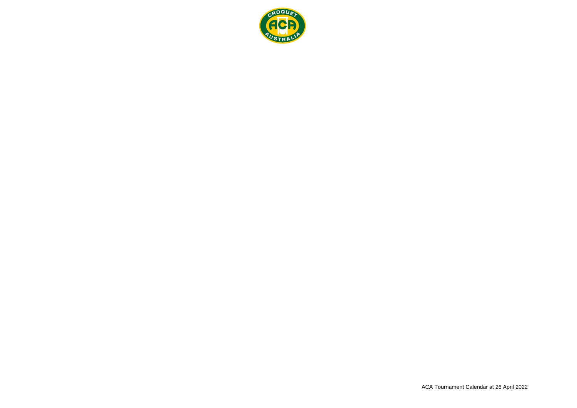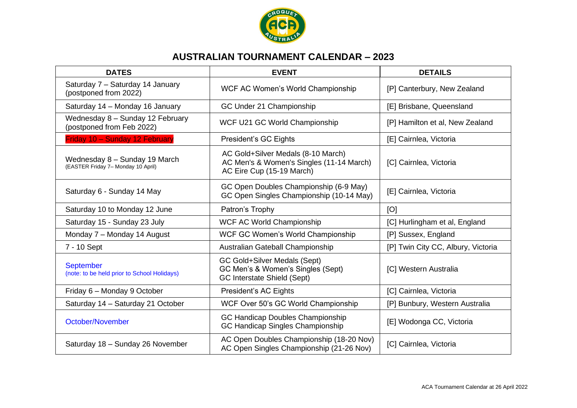

| <b>DATES</b>                                                        | <b>EVENT</b>                                                                                                | <b>DETAILS</b>                     |
|---------------------------------------------------------------------|-------------------------------------------------------------------------------------------------------------|------------------------------------|
| Saturday 7 - Saturday 14 January<br>(postponed from 2022)           | WCF AC Women's World Championship                                                                           | [P] Canterbury, New Zealand        |
| Saturday 14 - Monday 16 January                                     | GC Under 21 Championship                                                                                    | [E] Brisbane, Queensland           |
| Wednesday 8 - Sunday 12 February<br>(postponed from Feb 2022)       | WCF U21 GC World Championship                                                                               | [P] Hamilton et al, New Zealand    |
| Friday 10 - Sunday 12 February                                      | President's GC Eights                                                                                       | [E] Cairnlea, Victoria             |
| Wednesday 8 - Sunday 19 March<br>(EASTER Friday 7- Monday 10 April) | AC Gold+Silver Medals (8-10 March)<br>AC Men's & Women's Singles (11-14 March)<br>AC Eire Cup (15-19 March) | [C] Cairnlea, Victoria             |
| Saturday 6 - Sunday 14 May                                          | GC Open Doubles Championship (6-9 May)<br>GC Open Singles Championship (10-14 May)                          | [E] Cairnlea, Victoria             |
| Saturday 10 to Monday 12 June                                       | Patron's Trophy                                                                                             | [O]                                |
| Saturday 15 - Sunday 23 July                                        | <b>WCF AC World Championship</b>                                                                            | [C] Hurlingham et al, England      |
| Monday 7 - Monday 14 August                                         | <b>WCF GC Women's World Championship</b>                                                                    | [P] Sussex, England                |
| 7 - 10 Sept                                                         | Australian Gateball Championship                                                                            | [P] Twin City CC, Albury, Victoria |
| <b>September</b><br>(note: to be held prior to School Holidays)     | GC Gold+Silver Medals (Sept)<br>GC Men's & Women's Singles (Sept)<br><b>GC Interstate Shield (Sept)</b>     | [C] Western Australia              |
| Friday 6 - Monday 9 October                                         | President's AC Eights                                                                                       | [C] Cairnlea, Victoria             |
| Saturday 14 - Saturday 21 October                                   | WCF Over 50's GC World Championship                                                                         | [P] Bunbury, Western Australia     |
| October/November                                                    | GC Handicap Doubles Championship<br>GC Handicap Singles Championship                                        | [E] Wodonga CC, Victoria           |
| Saturday 18 - Sunday 26 November                                    | AC Open Doubles Championship (18-20 Nov)<br>AC Open Singles Championship (21-26 Nov)                        | [C] Cairnlea, Victoria             |